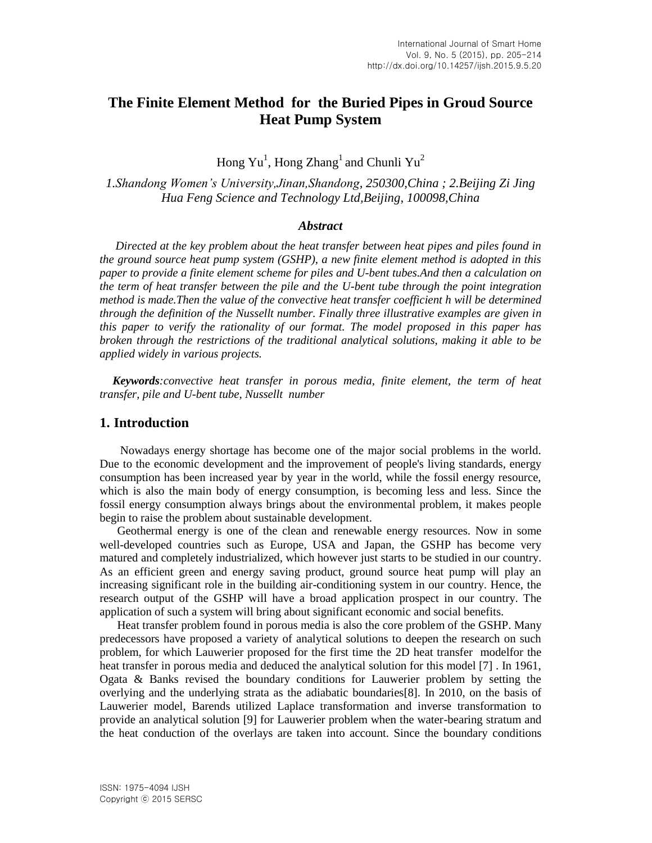# **The Finite Element Method for the Buried Pipes in Groud Source Heat Pump System**

Hong  $Yu^1$ , Hong  $Zhang^1$  and Chunli  $Yu^2$ 

*1.Shandong Women's University,Jinan,Shandong, 250300,China ; 2.Beijing Zi Jing Hua Feng Science and Technology Ltd,Beijing, 100098,China*

### *Abstract*

*Directed at the key problem about the heat transfer between heat pipes and piles found in the ground source heat pump system (GSHP), a new finite element method is adopted in this paper to provide a finite element scheme for piles and U-bent tubes.And then a calculation on the term of heat transfer between the pile and the U-bent tube through the point integration method is made.Then the value of the [convective](http://dict.youdao.com/w/convective/) [heat](http://dict.youdao.com/w/heat/) [transfer](http://dict.youdao.com/w/transfer/) [coefficient](http://dict.youdao.com/w/coefficient/) h will be determined through the definition of the Nussellt number. Finally three illustrative examples are given in this paper to verify the rationality of our format. The model proposed in this paper has broken through the restrictions of the traditional analytical solutions, making it able to be applied widely in various projects.* 

*Keywords:convective heat transfer in porous media, finite element, the term of heat transfer, pile and U-bent tube, Nussellt number*

## **1. Introduction**

 Nowadays energy shortage has become one of the major social problems in the world. Due to the economic development and the improvement of people's living standards, energy consumption has been increased year by year in the world, while the fossil energy resource, which is also the main body of energy consumption, is becoming less and less. Since the fossil energy consumption always brings about the environmental problem, it makes people begin to raise the problem about sustainable development.

 Geothermal energy is one of the clean and [renewable](http://dict.youdao.com/w/renewable/) [energy](http://dict.youdao.com/w/energy/) r[esources](http://dict.youdao.com/w/sources/). Now in some well-developed countries such as Europe, USA and Japan, the GSHP has become very matured and completely industrialized, which however just starts to be studied in our country. As an efficient green and energy saving product, ground source heat pump will play an increasing significant role in the building air-conditioning system in our country. Hence, the research output of the GSHP will have a broad application prospect in our country. The application of such a system will bring about significant economic and social benefits.

 Heat transfer problem found in porous media is also the core problem of the GSHP. Many predecessors have proposed a variety of analytical solutions to deepen the research on such problem, for which Lauwerier proposed for the first time the 2D heat transfer modelfor the heat transfer in porous media and deduced the analytical solution for this model [7] . In 1961, Ogata & Banks revised the boundary conditions for Lauwerier problem by setting the [overlying](http://dict.youdao.com/w/overlying/) and the underlying [strata](http://dict.youdao.com/w/strata/) as the adiabatic boundaries[8]. In 2010, on the basis of Lauwerier model, Barends utilized Laplace transformation and inverse transformation to provide an analytical solution [9] for Lauwerier problem when the water-bearing stratum and the heat conduction of the overlays are taken into account. Since the boundary conditions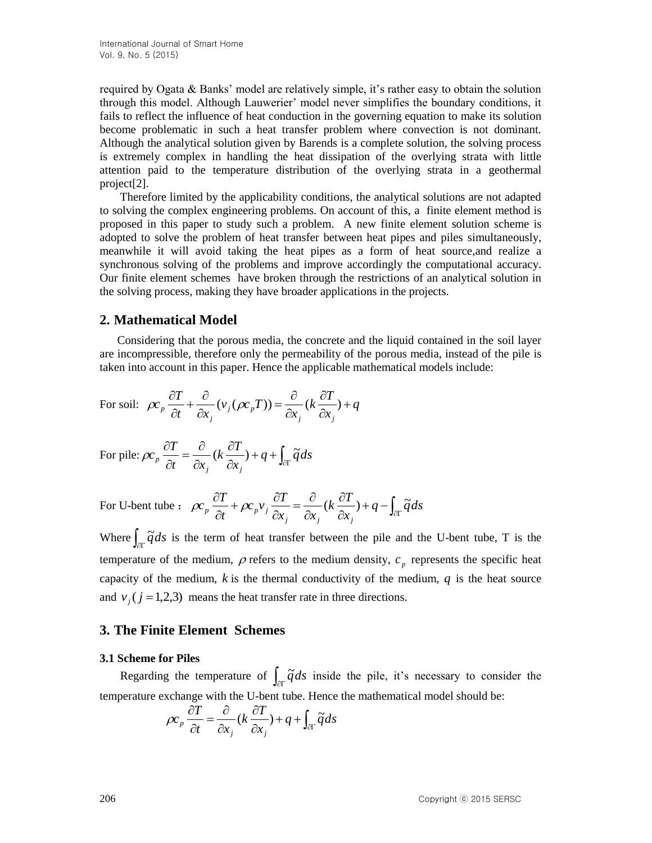required by Ogata & Banks' model are relatively simple, it's rather easy to obtain the solution through this model. Although Lauwerier' model never simplifies the boundary conditions, it fails to reflect the influence of heat conduction in the governing equation to make its solution become problematic in such a heat transfer problem where convection is not dominant. Although the analytical solution given by Barends is a complete solution, the solving process is extremely complex in handling the heat dissipation of the overlying strata with little attention paid to the temperature distribution of the overlying strata in a [geothermal](http://dict.youdao.com/w/geothermal/) [project\[](http://dict.youdao.com/w/engineering/)2].

 Therefore limited by the applicability conditions, the analytical solutions are not adapted to solving the complex engineering problems. On account of this, a finite element method is proposed in this paper to study such a problem. A new finite element solution scheme is adopted to solve the problem of heat transfer between heat pipes and piles simultaneously, meanwhile it will avoid taking the heat pipes as a form of heat source,and realize a synchronous solving of the problems and improve accordingly the [computational](http://dict.youdao.com/w/computational/) [accuracy.](http://dict.youdao.com/w/accuracy/) Our finite element schemes have broken through the restrictions of an analytical solution in th[e solving](http://dict.youdao.com/w/solving/) [process,](http://dict.youdao.com/w/process/) making they have broader applications in the projects.

## **2. Mathematical Model**

 Considering that the porous media, the concrete and the liquid contained in the soil layer are incompressible, therefore only the permeability of the porous media, instead of the pile is taken into account in this paper. Hence the applicable mathematical models include:

For soil: 
$$
\rho c_p \frac{\partial T}{\partial t} + \frac{\partial}{\partial x_j} (\nu_j (\rho c_p T)) = \frac{\partial}{\partial x_j} (k \frac{\partial T}{\partial x_j}) + q
$$

For pile: 
$$
\rho c_p \frac{\partial T}{\partial t} = \frac{\partial}{\partial x_j} (k \frac{\partial T}{\partial x_j}) + q + \int_{\partial \Gamma} \tilde{q} ds
$$

For U-bent tube :  $\rho c_p \frac{\partial I}{\partial t} + \rho c_p v_j \frac{\partial I}{\partial x} = \frac{\partial}{\partial x} (k \frac{\partial I}{\partial x}) + q - \int_{\partial \Gamma}$  $\partial$  $\partial$  $\partial$  $=\frac{\partial}{\partial x}$  $\partial$ +  $\rho c_{n}v_{i}\frac{\partial}{\partial z}$  $\partial$  $\frac{\partial T}{\partial t} + \rho c_n v_i \frac{\partial T}{\partial t} = \frac{\partial}{\partial t} (k \frac{\partial T}{\partial t}) + q - \int d^2 s$ *x*  $k \frac{\partial T}{\partial t}$  $x_i$   $\partial x$  $c_{n}v_{i}$ <sup> $\frac{\partial T}{\partial r}$ </sup> *t*  $c_n \frac{\partial T}{\partial r}$ *j*  $\alpha_j$   $\alpha_j$  $\rho c_p \frac{\partial T}{\partial t} + \rho c_p v_j \frac{\partial T}{\partial t} = \frac{\partial}{\partial t} (k \frac{\partial T}{\partial t}) + q - \int_{\text{ar}} \tilde{q}$ 

Where  $\int_{\partial \Gamma} \tilde{q} ds$  is the term of heat transfer between the pile and the U-bent tube, T is the temperature of the medium,  $\rho$  refers to the medium density,  $c_p$  represents the specific heat capacity of the medium,  $k$  is the thermal conductivity of the medium,  $q$  is the heat source and  $v_j$  ( $j = 1,2,3$ ) means the heat transfer rate in three directions.

## **3. The Finite Element Schemes**

#### **3.1 Scheme for Piles**

Regarding the temperature of  $\int_{\partial \Gamma} \tilde{q} ds$  inside the pile, it's necessary to consider the temperature exchange with the U-bent tube. Hence the mathematical model should be:

$$
\rho c_p \frac{\partial T}{\partial t} = \frac{\partial}{\partial x_j} (k \frac{\partial T}{\partial x_j}) + q + \int_{\partial \Gamma} \widetilde{q} ds
$$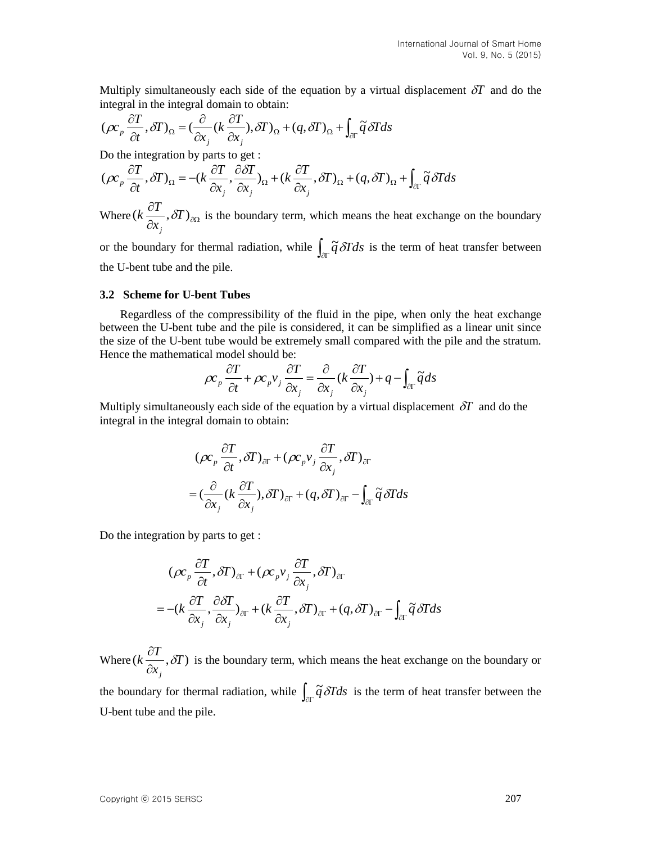Multiply [simultaneously](http://dict.youdao.com/w/simultaneously/) each side of the equation by a virtual displacement  $\delta T$  and do the integral in the integral domain to obtain:

$$
(\rho c_p \frac{\partial T}{\partial t}, \delta T)_{\Omega} = (\frac{\partial}{\partial x_j} (k \frac{\partial T}{\partial x_j}), \delta T)_{\Omega} + (q, \delta T)_{\Omega} + \int_{\partial \Gamma} \widetilde{q} \, \delta T ds
$$

Do the integration by parts to get :

$$
(\rho c_p \frac{\partial T}{\partial t}, \delta T)_{\Omega} = -(k \frac{\partial T}{\partial x_j}, \frac{\partial \delta T}{\partial x_j})_{\Omega} + (k \frac{\partial T}{\partial x_j}, \delta T)_{\Omega} + (q, \delta T)_{\Omega} + \int_{\partial \Gamma} \widetilde{q} \, \delta T ds
$$

Where  $(k\frac{\partial P}{\partial x_i}, \delta T)_{\partial\Omega}$  $(k\frac{\partial T}{\partial}, \delta T)$ *x*  $k \frac{\partial T}{\partial t}$ *j*  $\delta T$ <sub>20</sub> is the boundary term, which means the heat exchange on the boundary

or the boundary for thermal radiation, while  $\int_{\partial \Gamma} \tilde{q} \, \delta T ds$  is the term of heat transfer between the U-bent tube and the pile.

#### **3.2 Scheme for U-bent Tubes**

 Regardless of the compressibility of the fluid in the pipe, when only the [heat](http://dict.youdao.com/w/heat/) [exchange](http://dict.youdao.com/w/exchange/) between the U-bent tube and the pile is considered, it can be simplified as a linear unit since the size of the U-bent tube would be extremely small compared with the pile and the stratum. Hence the mathematical model should be:

$$
\rho c_p \frac{\partial T}{\partial t} + \rho c_p v_j \frac{\partial T}{\partial x_j} = \frac{\partial}{\partial x_j} (k \frac{\partial T}{\partial x_j}) + q - \int_{\partial \Gamma} \tilde{q} ds
$$

Multiply [simultaneously](http://dict.youdao.com/w/simultaneously/) each side of the equation by a virtual displacement  $\delta T$  and do the integral in the integral domain to obtain:

$$
(\rho c_p \frac{\partial T}{\partial t}, \delta T)_{\partial \Gamma} + (\rho c_p v_j \frac{\partial T}{\partial x_j}, \delta T)_{\partial \Gamma}
$$
  
=  $(\frac{\partial}{\partial x_j} (k \frac{\partial T}{\partial x_j}), \delta T)_{\partial \Gamma} + (q, \delta T)_{\partial \Gamma} - \int_{\partial \Gamma} \widetilde{q} \delta T ds$ 

Do the integration by parts to get :

$$
(\rho c_p \frac{\partial T}{\partial t}, \delta T)_{\partial \Gamma} + (\rho c_p v_j \frac{\partial T}{\partial x_j}, \delta T)_{\partial \Gamma}
$$
  
= -( $k \frac{\partial T}{\partial x_j}, \frac{\partial \delta T}{\partial x_j}$ ) <sub>$\partial \Gamma$</sub>  + ( $k \frac{\partial T}{\partial x_j}, \delta T$ ) <sub>$\partial \Gamma$</sub>  + ( $q, \delta T$ ) <sub>$\partial \Gamma$</sub>  -  $\int_{\partial \Gamma} \tilde{q} \delta T ds$ 

Where  $(k \frac{U}{2}, \delta T)$ *x*  $k \frac{\partial T}{\partial t}$ *j*  $\frac{\partial \mathbf{r}}{\partial x_i}, \delta x$  $\frac{\partial T}{\partial T}$ ,  $\delta T$ ) is the boundary term, which means the heat exchange on the boundary or

the boundary for thermal radiation, while  $\int_{\partial \Gamma} \tilde{q} \, \delta T ds$  is the term of heat transfer between the U-bent tube and the pile.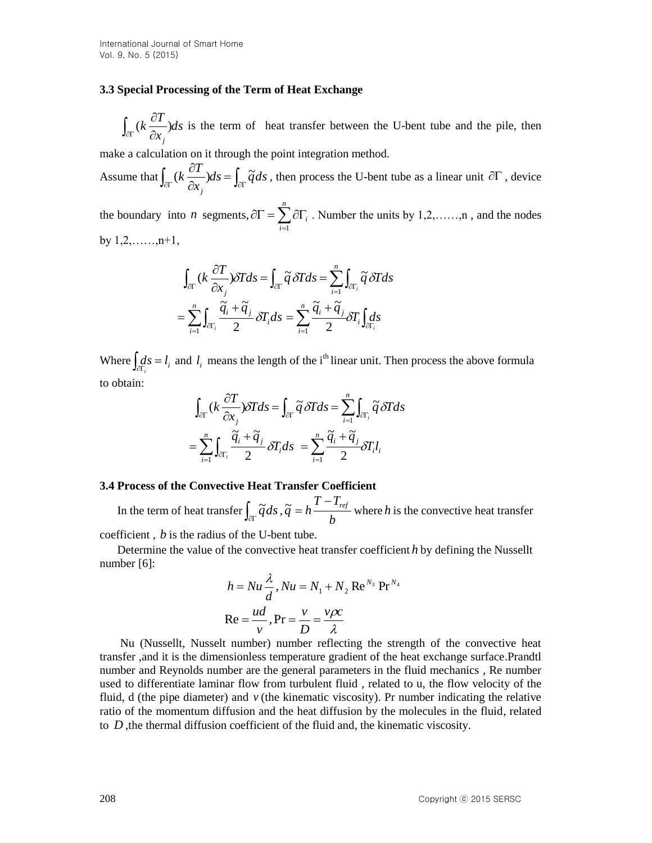### **3.3 Special Processing of the Term of Heat Exchange**

 $(k\frac{\sigma}{2})ds$ *x*  $k \frac{\partial T}{\partial t}$  $\int_{\partial \Gamma} (k \frac{\partial T}{\partial x_j}) ds$  is the term of heat transfer between the U-bent tube and the pile, then

make a calculation on it through the point integration method.

Assume that  $\int_{\partial \Gamma} (k \frac{\partial I}{\partial x}) ds = \int_{\partial \Gamma}$  $\partial$  $\frac{\partial T}{\partial s}dx = \int d\vec{q}ds$ *x*  $k \frac{\partial T}{\partial t}$ *j*  $(k \frac{\partial T}{\partial s}) ds = \int d^3s$ , then process the U-bent tube as a linear unit  $\partial \Gamma$ , device

the boundary into *n* segments,  $\partial \Gamma = \sum_{i=1}^{n} \partial \Gamma_i$ *i i* 1 . Number the units by  $1, 2, \ldots, n$ , and the nodes by  $1, 2, \ldots, n+1$ ,

$$
\int_{\partial \Gamma} (k \frac{\partial T}{\partial x_j}) \partial T ds = \int_{\partial \Gamma} \widetilde{q} \, \partial T ds = \sum_{i=1}^n \int_{\partial \Gamma_i} \widetilde{q} \, \partial T ds
$$

$$
= \sum_{i=1}^n \int_{\partial \Gamma_i} \frac{\widetilde{q}_i + \widetilde{q}_j}{2} \partial T_i ds = \sum_{i=1}^n \frac{\widetilde{q}_i + \widetilde{q}_j}{2} \partial T_i \int_{\partial \Gamma_i} ds
$$

Where  $\int_{\partial\Gamma_i} ds = l_i$  and  $l_i$  means the length of the i<sup>th</sup> linear unit. Then process the above formula to obtain:

$$
\int_{\partial \Gamma} (k \frac{\partial T}{\partial x_j}) \partial T ds = \int_{\partial \Gamma} \widetilde{q} \, \partial T ds = \sum_{i=1}^n \int_{\partial \Gamma_i} \widetilde{q} \, \partial T ds
$$

$$
= \sum_{i=1}^n \int_{\partial \Gamma_i} \frac{\widetilde{q}_i + \widetilde{q}_j}{2} \partial T_i ds = \sum_{i=1}^n \frac{\widetilde{q}_i + \widetilde{q}_j}{2} \partial T_i l_i
$$

#### **3.4 Process of the [Convective](http://dict.youdao.com/w/convective/) [Heat](http://dict.youdao.com/w/heat/) [Transfer](http://dict.youdao.com/w/transfer/) [Coefficient](http://dict.youdao.com/w/coefficient/)**

In the term of heat transfer  $\int_{\partial\Gamma} \widetilde{q} ds$ , *b*  $T - T$  $\tilde{q} = h \frac{T - T_{ref}}{I}$  where *h* is th[e convective](http://dict.youdao.com/w/convective/) [heat](http://dict.youdao.com/w/heat/) [transfer](http://dict.youdao.com/w/transfer/)

[coefficient](http://dict.youdao.com/w/coefficient/),  $b$  is the radius of the U-bent tube.

 Determine the value of the [convective](http://dict.youdao.com/w/convective/) [heat](http://dict.youdao.com/w/heat/) [transfer](http://dict.youdao.com/w/transfer/) [coefficient](http://dict.youdao.com/w/coefficient/) *h* by defining the Nussellt number [6]:

$$
h = Nu \frac{\lambda}{d}, Nu = N_1 + N_2 \operatorname{Re}^{N_3} \operatorname{Pr}^{N_4}
$$

$$
\operatorname{Re} = \frac{ud}{v}, \operatorname{Pr} = \frac{v}{D} = \frac{v\rho c}{\lambda}
$$

 Nu (Nussellt, Nusselt number) number reflecting the strength of the convective heat transfer ,and it is the dimensionless temperature gradient of the heat exchange surface.Prandtl number and Reynolds number are the general parameters in the fluid mechanics , Re number used to differentiate laminar flow from turbulent fluid , related to u, the flow velocity of the fluid,  $d$  (the [pipe](http://dict.youdao.com/w/pipe/) [diameter\)](http://dict.youdao.com/w/diameter/) and  $\nu$  (the kinematic viscosity). Pr number indicating the relative ratio of the momentum diffusion and the heat diffusion by the molecules in the fluid, related to  $D$ , the thermal diffusion coefficient of the fluid and, the kinematic viscosity.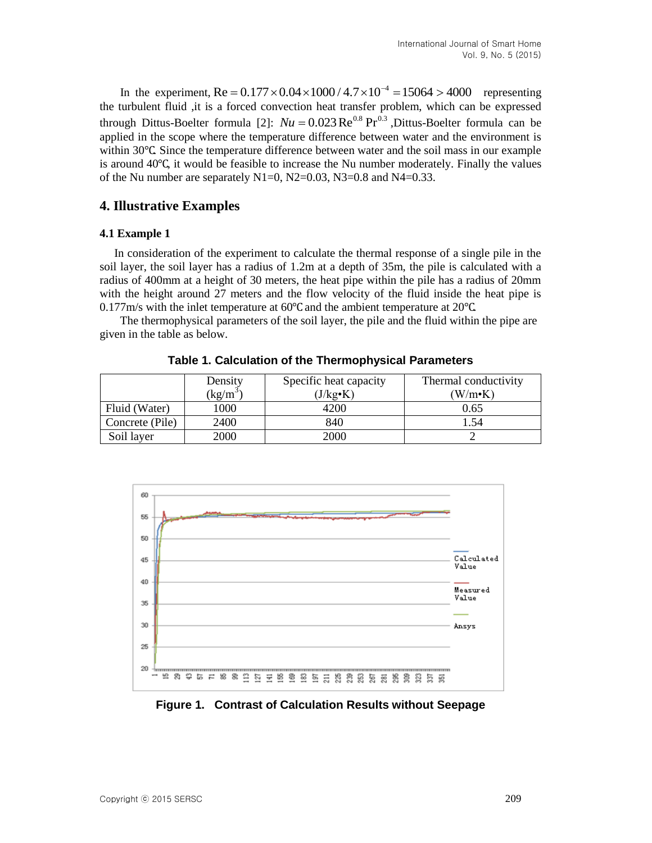In the experiment,  $Re = 0.177 \times 0.04 \times 1000 / 4.7 \times 10^{-4} = 15064 > 4000$  representing the turbulent fluid ,it is a forced convection heat transfer problem, which can be expressed through Dittus-Boelter formula [2]:  $Nu = 0.023 \text{Re}^{0.8} \text{Pr}^{0.3}$ , Dittus-Boelter formula can be applied in the scope where the temperature difference between water and the environment is within 30℃. Since the temperature difference between water and the soil mass in our example is around 40℃, it would be feasible to increase the Nu number moderately. Finally the values of the Nu number are separately  $N1=0$ ,  $N2=0.03$ ,  $N3=0.8$  and  $N4=0.33$ .

## **4. Illustrative Examples**

### **4.1 Example 1**

 In consideration of the experiment to calculate the thermal response of a single pile in the soil layer, the soil layer has a radius of 1.2m at a depth of 35m, the pile is calculated with a radius of 400mm at a height of 30 meters, the heat pipe within the pile has a radius of 20mm with the height around 27 meters and the flow velocity of the fluid inside the heat pipe is 0.177m/s with the [inlet](http://dict.youdao.com/w/inlet/) [temperature](http://dict.youdao.com/w/temperature/) at 60℃ and the ambient temperature at 20℃.

 Th[e thermophysical](http://dict.youdao.com/w/thermophysical/) [parameters](http://dict.youdao.com/w/parameter/) of the soil layer, the pile and the fluid within the pipe are given in the table as below.

|                 | Density                        | Specific heat capacity | Thermal conductivity |
|-----------------|--------------------------------|------------------------|----------------------|
|                 | $\frac{\text{kg}}{\text{m}^3}$ | $(J/kg \cdot K)$       | $(W/m\cdot K)$       |
| Fluid (Water)   | 1000                           | 4200                   | 0.65                 |
| Concrete (Pile) | 2400                           | 840                    | 1.54                 |
| Soil layer      | 2000                           | 2000                   |                      |

**Table 1. Calculation of the [Thermophysical](http://dict.youdao.com/w/thermophysical/) [Parameters](http://dict.youdao.com/w/parameter/)**



**Figure 1. Contrast of Calculation Results without Seepage**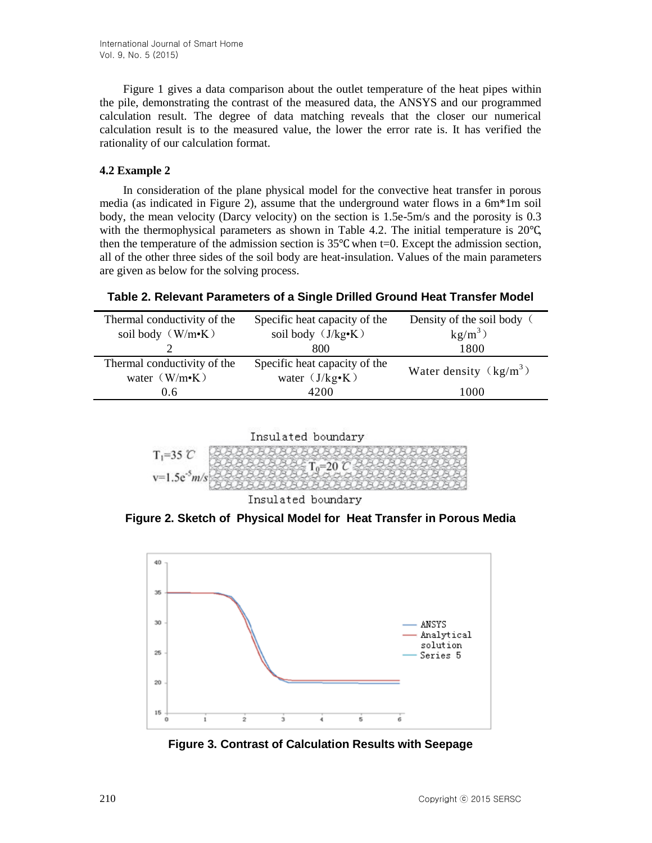Figure 1 gives a [data](http://dict.youdao.com/w/data/) [comparison](http://dict.youdao.com/w/comparison/) about the outlet temperature of the heat pipes within the pile, demonstrating the contrast of the measured data, the ANSYS and our programmed calculation result. The degree of data matching reveals that the closer our numerical calculation result is to the measured value, the lower the error rate is. It has verified the rationality of our calculation format.

### **4.2 Example 2**

 In consideration of the plane physical model for the convective heat transfer in porous media (as indicated in Figure 2), assume that the [underground](http://dict.youdao.com/w/underground/) [water](http://dict.youdao.com/w/water/) flows in a 6m\*1m soil body, the mean velocity (Darcy velocity) on the section is 1.5e-5m/s and the porosity is 0.3 with the [thermophysical](http://dict.youdao.com/w/thermophysical/) [parameters](http://dict.youdao.com/w/parameter/) as shown in Table 4.2. The initial temperature is  $20^{\circ}$ C, then the temperature of the admission section is  $35^{\circ}$ C when t=0. Except the admission section, all of the other three sides of the soil body are heat-insulation. Values of the main parameters are given as below for the solving process.

**Table 2. Relevant Parameters of a Single Drilled Ground Heat Transfer Model**

| Density of the soil body ( |
|----------------------------|
|                            |
|                            |
| Water density $(kg/m^3)$   |
|                            |
|                            |





**Figure 2. Sketch of Physical Model for Heat Transfer in Porous Media**



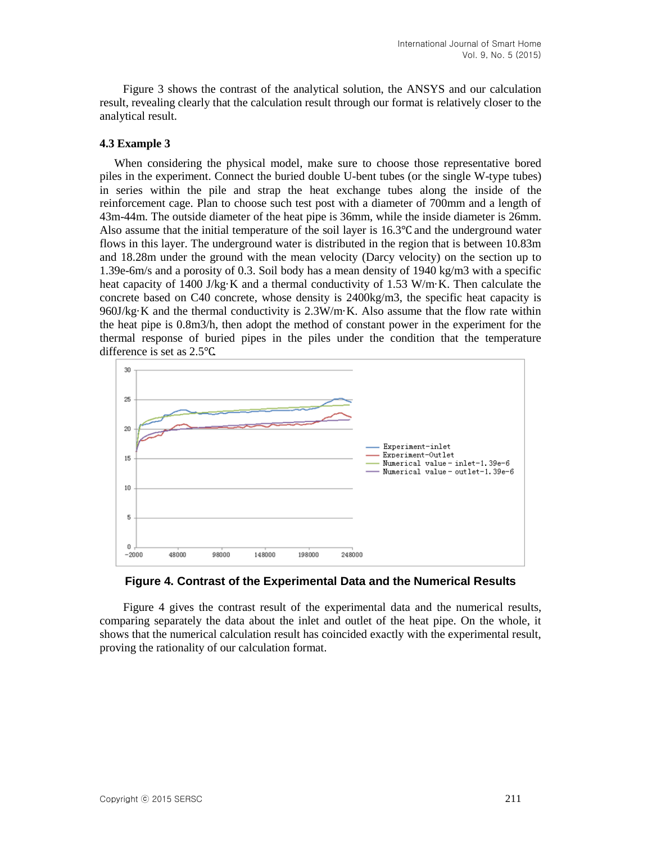Figure 3 shows the contrast of the analytical solution, the ANSYS and our calculation result, revealing clearly that the calculation result through our format is relatively closer to the analytical result.

### **4.3 Example 3**

 When considering the physical model, make sure to choose those representative bored piles in the experiment. Connect the buried double U-bent tubes (or the single W-type tubes) in series within the pile and strap the [heat](http://dict.youdao.com/w/heat/) [exchange](http://dict.youdao.com/w/exchange/) tubes along the inside of the reinforcement cage. Plan to choose such test post with a diameter of 700mm and a length of 43m-44m. The outside diameter of the heat pipe is 36mm, while the inside diameter is 26mm. Also assume that the initial temperature of the soil layer is 16.3℃ and the underground water flows in this layer. The underground water is distributed in the region that is between 10.83m and 18.28m under the ground with the mean velocity (Darcy velocity) on the section up to 1.39e-6m/s and a porosity of 0.3. Soil body has a mean density of 1940 kg/m3 with a specific heat capacity of 1400 J/kg·K and a thermal conductivity of 1.53 W/m·K. Then calculate the concrete based on C40 concrete, whose density is 2400kg/m3, the specific heat capacity is 960J/kg·K and the thermal conductivity is 2.3W/m·K. Also assume that the flow rate within the heat pipe is 0.8m3/h, then adopt the method of constant power in the experiment for the thermal response of buried pipes in the piles under the condition that the temperature difference is set as 2.5℃.



**Figure 4. Contrast of the Experimental Data and the Numerical Results**

 Figure 4 gives the contrast result of the experimental data and the numerical results, comparing separately the data about the inlet and outlet of the heat pipe. On the whole, it shows that the numerical calculation result has coincided exactly with the experimental result, proving the rationality of our calculation format.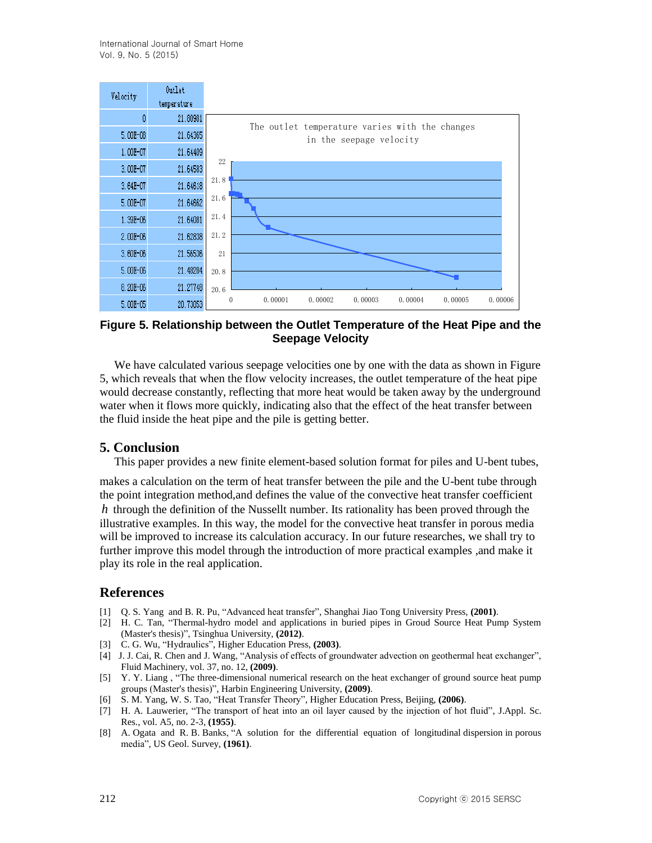| Velocity     | Uutlet<br>temperature |                                                                                |
|--------------|-----------------------|--------------------------------------------------------------------------------|
|              | 21.80981              |                                                                                |
| 5.00E-08     | 21.64365              | The outlet temperature varies with the changes<br>in the seepage velocity      |
| $1.00E - 07$ | 21.64409              |                                                                                |
| 3.00E-07     | 21.64583              | 22                                                                             |
| $3.64E - 07$ | 21.64618              | 21.8                                                                           |
| 5.00E-07     | 21.64662              | 21.6                                                                           |
| 1.39E-06     | 21.64081              | 21.4                                                                           |
| $2.00E - 06$ | 21.62838              | 21.2                                                                           |
| 3.60E-06     | 21.56536              | 21                                                                             |
| $5.00E - 06$ | 21.48284              | 20.8                                                                           |
| 8.20E-06     | 21.27748              | 20.6                                                                           |
| 5.00E-05     | 20.73053              | 0.00001<br>$\mathbf{0}$<br>0.00002<br>0.00003<br>0.00005<br>0.00006<br>0.00004 |

## **Figure 5. Relationship between the Outlet Temperature of the Heat Pipe and the Seepage Velocity**

We have calculated various seepage velocities one by one with the data as shown in Figure 5, which reveals that when the flow velocity increases, the outlet temperature of the heat pipe would decrease constantly, reflecting that more heat would be taken away by the underground water when it flows more quickly, indicating also that the effect of the heat transfer between the fluid inside the heat pipe and the pile is getting better.

## **5. Conclusion**

This paper provides a new finite element-based solution format for piles and U-bent tubes,

makes a calculation on the term of heat transfer between the pile and the U-bent tube through the point integration method,and defines the value of the [convective](http://dict.youdao.com/w/convective/) [heat](http://dict.youdao.com/w/heat/) [transfer](http://dict.youdao.com/w/transfer/) [coefficient](http://dict.youdao.com/w/coefficient/) *h* through the definition of the Nussellt number. Its rationality has been proved through the illustrative examples. In this way, the model for the convective heat transfer in porous media will be improved to increase its calculation accuracy. In our future researches, we shall try to further improve this model through the introduction of more practical examples ,and make it play its role in the real application.

### **References**

- [1] Q. S. Yang and B. R. Pu, "Advanced heat transfer", Shanghai Jiao Tong University Press, **(2001)**.
- [2] H. C. Tan, "Thermal-hydro model and applications in buried pipes in Groud Source Heat Pump System (Master's thesis)", Tsinghua University, **(2012)**.
- [3] C. G. Wu, "Hydraulics", Higher Education Press, **(2003)**.
- [4] J. J. Cai, R. Chen and J. Wang, "Analysis of effects of groundwater advection on geothermal heat exchanger", Fluid Machinery, vol. 37, no. 12, **(2009)**.
- [5] Y. Y. Liang , "The three-dimensional numerical research on the heat exchanger of ground source heat pump groups (Master's thesis)", Harbin Engineering University, **(2009)**.
- [6] S. M. Yang, W. S. Tao, "Heat Transfer Theory", Higher Education Press, Beijing, **(2006)**.
- [7] H. A. Lauwerier, "The transport of heat into an oil layer caused by the injection of hot fluid", J.Appl. Sc. Res., vol. A5, no. 2-3, **(1955)**.
- [8] A. Ogata and R. B. Banks, "A solution for the differential equation of longitudinal dispersion in porous media", US Geol. Survey, **(1961)**.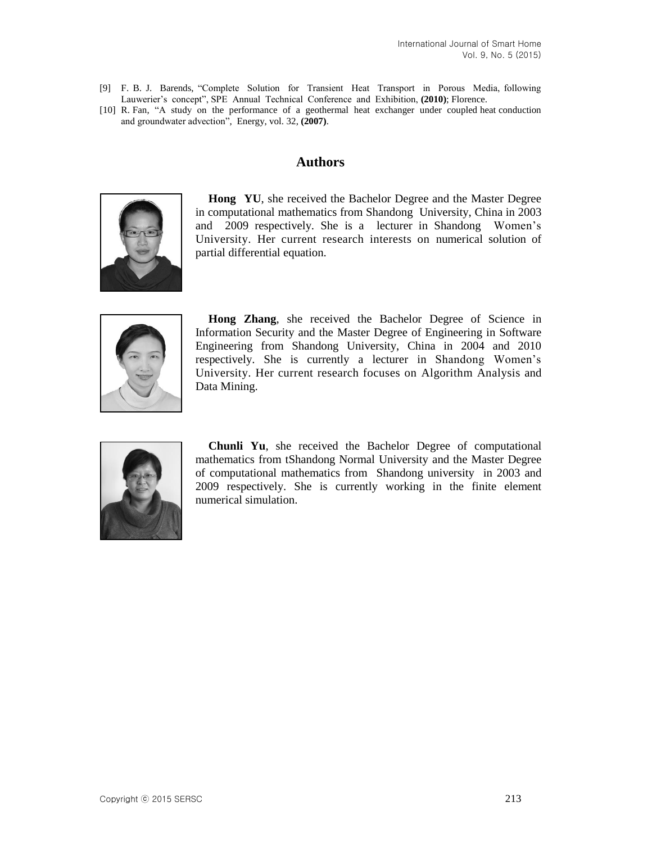- [9] F. B. J. Barends, "Complete Solution for Transient Heat Transport in Porous Media, following Lauwerier's concept", SPE Annual Technical Conference and Exhibition, **(2010)**; Florence.
- [10] R. Fan, "A study on the performance of a geothermal heat exchanger under coupled heat conduction and groundwater advection", Energy, vol. 32, **(2007)**.

## **Authors**



**Hong YU**, she received the Bachelor Degree and the Master Degree in computational mathematics from Shandong University, China in 2003 and 2009 respectively. She is a lecturer in Shandong Women's University. Her current research interests on numerical solution of partial differential equation.



**Hong Zhang**, she received the Bachelor Degree of Science in Information Security and the Master Degree of Engineering in Software Engineering from Shandong University, China in 2004 and 2010 respectively. She is currently a lecturer in Shandong Women's University. Her current research focuses on Algorithm Analysis and Data Mining.



**Chunli Yu**, she received the Bachelor Degree of computational mathematics from tShandong Normal University and the Master Degree of computational mathematics from Shandong university in 2003 and 2009 respectively. She is currently working in the finite element numerical simulation.